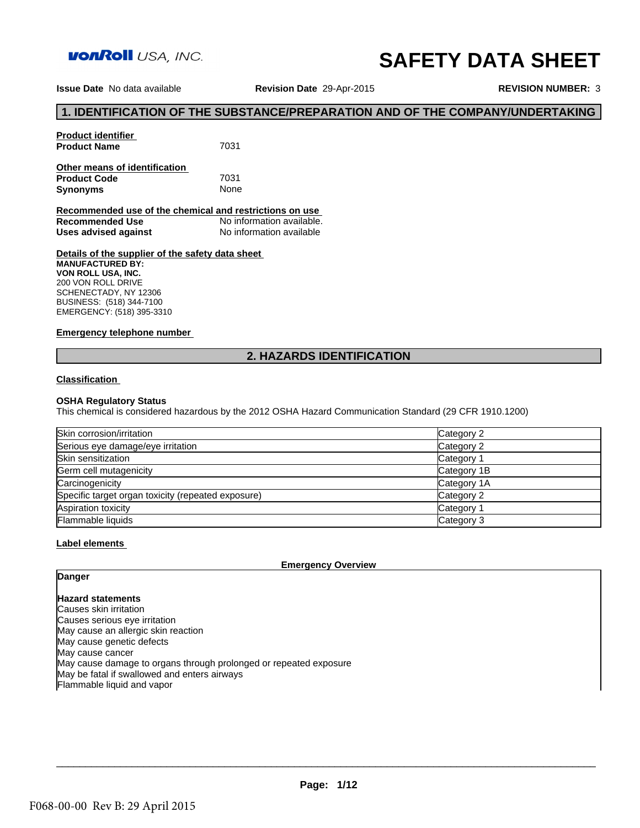

# **SAFETY DATA SHEET**

**Issue Date** No data available

**Revision Date** 29-Apr-2015

**REVISION NUMBER:** 3

# **1. IDENTIFICATION OF THE SUBSTANCE/PREPARATION AND OF THE COMPANY/UNDERTAKING**<br>1. IDENTIFICATION OF THE SUBSTANCE/PREPARATION AND OF THE COMPANY/UNDERTAKING<br>Troduct Name 7031

**Product identifier Product Name** 7031 **Other means of identification Product Code** 7031<br> **Synonyms** None

**Recommended use of the chemical and restrictions on use**  No information available.<br>No information available **Uses advised against 2. HAZARDS IDENTIFICATION**<br>**2. HAZARDS IDENTIFICATION** 

**Details of the supplier of the safety data sheet MANUFACTURED BY: VON ROLL USA, INC.** 200 VON ROLL DRIVE SCHENECTADY, NY 12306 BUSINESS: (518) 344-7100 EMERGENCY: (518) 395-3310

# **Emergency telephone number**

# **Classification**

**Synonyms** 

# **OSHA Regulatory Status**

This chemical is considered hazardous by the 2012 OSHA Hazard Communication Standard (29 CFR 1910.1200)

| Skin corrosion/irritation                          | Category 2            |
|----------------------------------------------------|-----------------------|
| Serious eye damage/eye irritation                  | Category 2            |
| Skin sensitization                                 | Category <sup>2</sup> |
| Germ cell mutagenicity                             | Category 1B           |
| Carcinogenicity                                    | Category 1A           |
| Specific target organ toxicity (repeated exposure) | Category 2            |
| Aspiration toxicity                                | Category <sup>2</sup> |
| Flammable liquids                                  | Category 3            |

# **Label elements**

# **Emergency Overview**

# **Danger**

**Hazard statements** Causes skin irritation Causes serious eye irritation May cause an allergic skin reaction May cause genetic defects May cause cancer May cause damage to organs through prolonged or repeated exposure May be fatal if swallowed and enters airways Flammable liquid and vapor

 $\Box \rightarrow \Box \rightarrow \Box$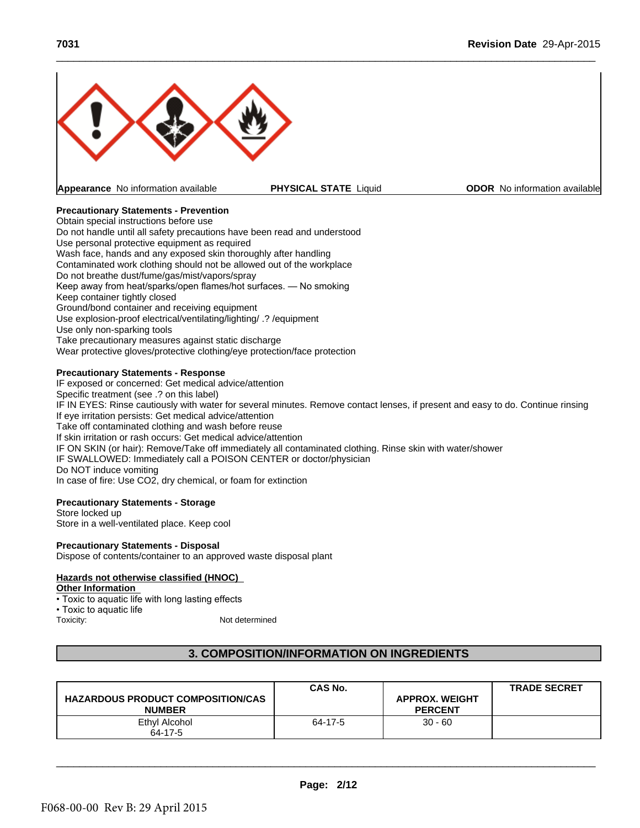

**Appearance** No information available **PHYSICAL STATE** Liquid **ODOR** No information available

 $\_$  ,  $\_$  ,  $\_$  ,  $\_$  ,  $\_$  ,  $\_$  ,  $\_$  ,  $\_$  ,  $\_$  ,  $\_$  ,  $\_$  ,  $\_$  ,  $\_$  ,  $\_$  ,  $\_$  ,  $\_$  ,  $\_$  ,  $\_$  ,  $\_$  ,  $\_$  ,  $\_$  ,  $\_$  ,  $\_$  ,  $\_$  ,  $\_$  ,  $\_$  ,  $\_$  ,  $\_$  ,  $\_$  ,  $\_$  ,  $\_$  ,  $\_$  ,  $\_$  ,  $\_$  ,  $\_$  ,  $\_$  ,  $\_$  ,

# **Precautionary Statements - Prevention**

Obtain special instructions before use Do not handle until all safety precautions have been read and understood Use personal protective equipment as required Wash face, hands and any exposed skin thoroughly after handling Contaminated work clothing should not be allowed out of the workplace Do not breathe dust/fume/gas/mist/vapors/spray Keep away from heat/sparks/open flames/hot surfaces. — No smoking Keep container tightly closed Ground/bond container and receiving equipment Use explosion-proof electrical/ventilating/lighting/ .? /equipment Use only non-sparking tools Take precautionary measures against static discharge Wear protective gloves/protective clothing/eye protection/face protection

# **Precautionary Statements - Response**

IF exposed or concerned: Get medical advice/attention Specific treatment (see .? on this label) IF IN EYES: Rinse cautiously with water for several minutes. Remove contact lenses, if present and easy to do. Continue rinsing If eye irritation persists: Get medical advice/attention Take off contaminated clothing and wash before reuse If skin irritation or rash occurs: Get medical advice/attention IF ON SKIN (or hair): Remove/Take off immediately all contaminated clothing. Rinse skin with water/shower IF SWALLOWED: Immediately call a POISON CENTER or doctor/physician Do NOT induce vomiting

# **Precautionary Statements - Storage**

# **Precautionary Statements - Disposal**

# **Hazards not otherwise classified (HNOC)**

# **Other Information**

| <b>PU IND I THUGGE VOITIIGHTY</b><br>In case of fire: Use CO2, dry chemical, or foam for extinction |                                                  |                       |                     |
|-----------------------------------------------------------------------------------------------------|--------------------------------------------------|-----------------------|---------------------|
| <b>Precautionary Statements - Storage</b>                                                           |                                                  |                       |                     |
| Store locked up                                                                                     |                                                  |                       |                     |
| Store in a well-ventilated place. Keep cool                                                         |                                                  |                       |                     |
| <b>Precautionary Statements - Disposal</b>                                                          |                                                  |                       |                     |
| Dispose of contents/container to an approved waste disposal plant                                   |                                                  |                       |                     |
|                                                                                                     |                                                  |                       |                     |
| Hazards not otherwise classified (HNOC)                                                             |                                                  |                       |                     |
| <b>Other Information</b>                                                                            |                                                  |                       |                     |
| • Toxic to aquatic life with long lasting effects                                                   |                                                  |                       |                     |
| • Toxic to aquatic life                                                                             |                                                  |                       |                     |
| Not determined<br>Toxicity:                                                                         |                                                  |                       |                     |
|                                                                                                     |                                                  |                       |                     |
|                                                                                                     |                                                  |                       |                     |
|                                                                                                     | <b>3. COMPOSITION/INFORMATION ON INGREDIENTS</b> |                       |                     |
|                                                                                                     |                                                  |                       |                     |
|                                                                                                     |                                                  |                       |                     |
|                                                                                                     | <b>CAS No.</b>                                   |                       | <b>TRADE SECRET</b> |
| <b>HAZARDOUS PRODUCT COMPOSITION/CAS</b>                                                            |                                                  | <b>APPROX. WEIGHT</b> |                     |
| <b>NUMBER</b>                                                                                       |                                                  | <b>PERCENT</b>        |                     |
| <b>Ethyl Alcohol</b>                                                                                | 64-17-5                                          | $30 - 60$             |                     |
| 64-17-5                                                                                             |                                                  |                       |                     |
|                                                                                                     |                                                  |                       |                     |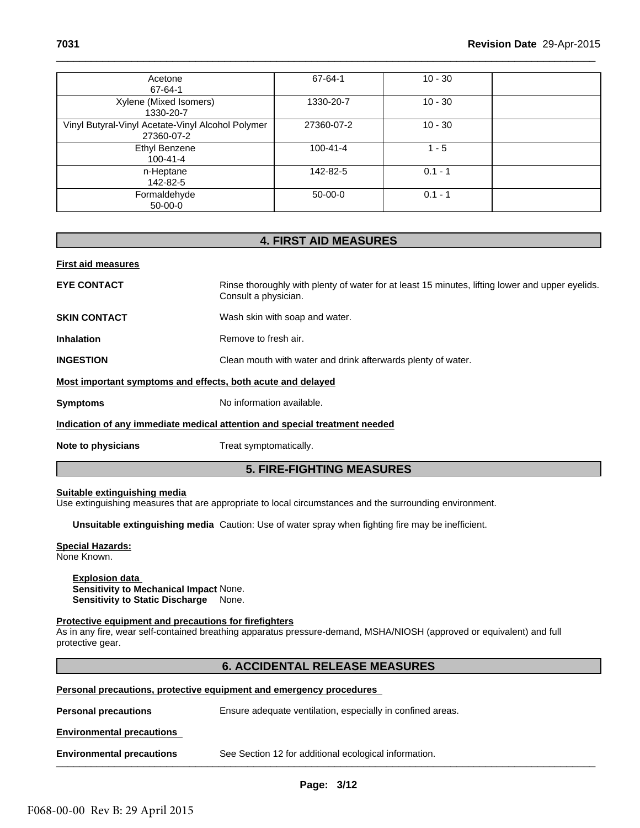| <b>First aid measures</b>                                       | <b>4. FIRST AID MEASURES</b> |           |  |
|-----------------------------------------------------------------|------------------------------|-----------|--|
|                                                                 |                              |           |  |
| Formaldehyde<br>$50-00-0$                                       | $50-00-0$                    | $0.1 - 1$ |  |
| n-Heptane<br>142-82-5                                           | 142-82-5                     | $0.1 - 1$ |  |
| <b>Ethyl Benzene</b><br>$100 - 41 - 4$                          | $100 - 41 - 4$               | $1 - 5$   |  |
| Vinyl Butyral-Vinyl Acetate-Vinyl Alcohol Polymer<br>27360-07-2 | 27360-07-2                   | $10 - 30$ |  |
| Xylene (Mixed Isomers)<br>1330-20-7                             | 1330-20-7                    | $10 - 30$ |  |
| Acetone<br>67-64-1                                              | 67-64-1                      | $10 - 30$ |  |

**EYE CONTACT** Rinse thoroughly with plenty of water for at least 15 minutes, lifting lower and upper eyelids. Consult a physician. **Example 10** Hall a physician.<br>
It a physician.<br>
Skin with soap and water.<br>
We to fresh air.<br>
mouth with water and drink afterwards plenty of water.<br> **h** acute and delayed<br>
Dramation available.<br> **5. FIRE-FIGHTING MEASURES** 

**SKIN CONTACT** Wash skin with soap and water.

**Inhalation** Remove to fresh air.

**INGESTION** Clean mouth with water and drink afterwards plenty of water.

# **Most important symptoms and effects, both acute and delayed**

**Symptoms** No information available.

# **Indication of any immediate medical attention and special treatment needed**

**Note to physicians** Treat symptomatically.

# **Suitable extinguishing media**

# **Special Hazards:**

# **Explosion data**

# **Protective equipment and precautions for firefighters**

| Suitable extinguishing media<br>Use extinguishing measures that are appropriate to local circumstances and the surrounding environment.                                                            |  |  |  |
|----------------------------------------------------------------------------------------------------------------------------------------------------------------------------------------------------|--|--|--|
| Unsuitable extinguishing media Caution: Use of water spray when fighting fire may be inefficient.                                                                                                  |  |  |  |
| <b>Special Hazards:</b><br>None Known.                                                                                                                                                             |  |  |  |
| <b>Explosion data</b><br><b>Sensitivity to Mechanical Impact None.</b><br>Sensitivity to Static Discharge None.                                                                                    |  |  |  |
| Protective equipment and precautions for firefighters<br>As in any fire, wear self-contained breathing apparatus pressure-demand, MSHA/NIOSH (approved or equivalent) and full<br>protective gear. |  |  |  |
| <b>6. ACCIDENTAL RELEASE MEASURES</b>                                                                                                                                                              |  |  |  |
| <b>Personal precautions, protective equipment and emergency procedures</b>                                                                                                                         |  |  |  |
| <b>Personal precautions</b><br>Ensure adequate ventilation, especially in confined areas.                                                                                                          |  |  |  |
| <b>Environmental precautions</b>                                                                                                                                                                   |  |  |  |
| <b>Environmental precautions</b><br>See Section 12 for additional ecological information.                                                                                                          |  |  |  |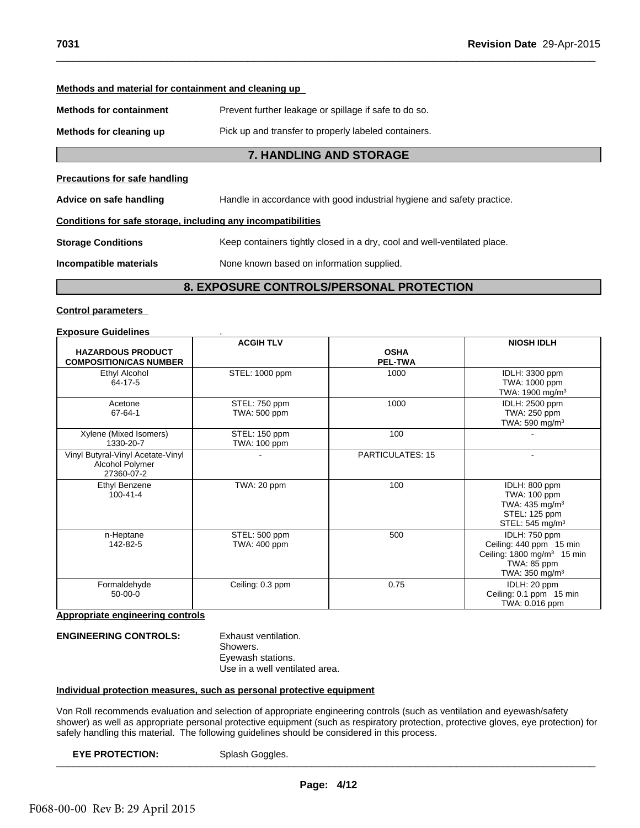# **Methods and material for containment and cleaning up**

**Methods for containment** Prevent further leakage or spillage if safe to do so.

**Methods for cleaning up** Pick up and transfer to properly labeled containers.

 $\_$  ,  $\_$  ,  $\_$  ,  $\_$  ,  $\_$  ,  $\_$  ,  $\_$  ,  $\_$  ,  $\_$  ,  $\_$  ,  $\_$  ,  $\_$  ,  $\_$  ,  $\_$  ,  $\_$  ,  $\_$  ,  $\_$  ,  $\_$  ,  $\_$  ,  $\_$  ,  $\_$  ,  $\_$  ,  $\_$  ,  $\_$  ,  $\_$  ,  $\_$  ,  $\_$  ,  $\_$  ,  $\_$  ,  $\_$  ,  $\_$  ,  $\_$  ,  $\_$  ,  $\_$  ,  $\_$  ,  $\_$  ,  $\_$  ,

**Precautions for safe handling**

**7. HANDLING AND STORAGE**<br>
For and transfer to properly labeled containers.<br> **7. HANDLING AND STORAGE**<br>
Final accordance with good industrial hydiene and safety practice. **Advice on safe handling** Handle in accordance with good industrial hygiene and safety practice.

# **Conditions for safe storage, including any incompatibilities**

**Storage Conditions** Keep containers tightly closed in a dry, cool and well-ventilated place. **Prevent further leakage or spillage if safe to do so.**<br> **8. Pick up and transfer to properly labeled containers.**<br> **7. HANDLING AND STORAGE**<br> **9. Handle in accordance with good industrial hygiene and safety practice.**<br> **9** 

**Incompatible materials** None known based on information supplied.

# **Control parameters**

| <b>Exposure Guidelines</b>                                         | <b>ACGIH TLV</b>              |                               | <b>NIOSH IDLH</b>                                                                                                                 |
|--------------------------------------------------------------------|-------------------------------|-------------------------------|-----------------------------------------------------------------------------------------------------------------------------------|
| <b>HAZARDOUS PRODUCT</b><br><b>COMPOSITION/CAS NUMBER</b>          |                               | <b>OSHA</b><br><b>PEL-TWA</b> |                                                                                                                                   |
| Ethyl Alcohol<br>64-17-5                                           | STEL: 1000 ppm                | 1000                          | IDLH: 3300 ppm<br>TWA: 1000 ppm<br>TWA: 1900 mg/m <sup>3</sup>                                                                    |
| Acetone<br>67-64-1                                                 | STEL: 750 ppm<br>TWA: 500 ppm | 1000                          | IDLH: 2500 ppm<br>TWA: 250 ppm<br>TWA: 590 mg/m <sup>3</sup>                                                                      |
| Xylene (Mixed Isomers)<br>1330-20-7                                | STEL: 150 ppm<br>TWA: 100 ppm | 100                           |                                                                                                                                   |
| Vinyl Butyral-Vinyl Acetate-Vinyl<br>Alcohol Polymer<br>27360-07-2 |                               | <b>PARTICULATES: 15</b>       |                                                                                                                                   |
| Ethyl Benzene<br>$100 - 41 - 4$                                    | TWA: 20 ppm                   | 100                           | IDLH: 800 ppm<br>TWA: 100 ppm<br>TWA: $435 \text{ mg/m}^3$<br>STEL: 125 ppm<br>STEL: 545 mg/m <sup>3</sup>                        |
| n-Heptane<br>142-82-5                                              | STEL: 500 ppm<br>TWA: 400 ppm | 500                           | IDLH: 750 ppm<br>Ceiling: 440 ppm 15 min<br>Ceiling: 1800 mg/m <sup>3</sup> 15 min<br>TWA: 85 ppm<br>TWA: $350$ mg/m <sup>3</sup> |
| Formaldehyde<br>$50-00-0$                                          | Ceiling: 0.3 ppm              | 0.75                          | IDLH: 20 ppm<br>Ceiling: 0.1 ppm 15 min<br>TWA: 0.016 ppm                                                                         |

# **Appropriate engineering controls**

# **ENGINEERING CONTROLS:** Exhaust ventilation.

Showers. Eyewash stations. Use in a well ventilated area.

# **Individual protection measures, such as personal protective equipment**

Von Roll recommends evaluation and selection of appropriate engineering controls (such as ventilation and eyewash/safety shower) as well as appropriate personal protective equipment (such as respiratory protection, protective gloves, eye protection) for safely handling this material. The following guidelines should be considered in this process.

**EYE PROTECTION:** Splash Goggles. \_\_\_\_\_\_\_\_\_\_\_\_\_\_\_\_\_\_\_\_\_\_\_\_\_\_\_\_\_\_\_\_\_\_\_\_\_\_\_\_\_\_\_\_\_\_\_\_\_\_\_\_\_\_\_\_\_\_\_\_\_\_\_\_\_\_\_\_\_\_\_\_\_\_\_\_\_\_\_\_\_\_\_\_\_\_\_\_\_\_\_\_\_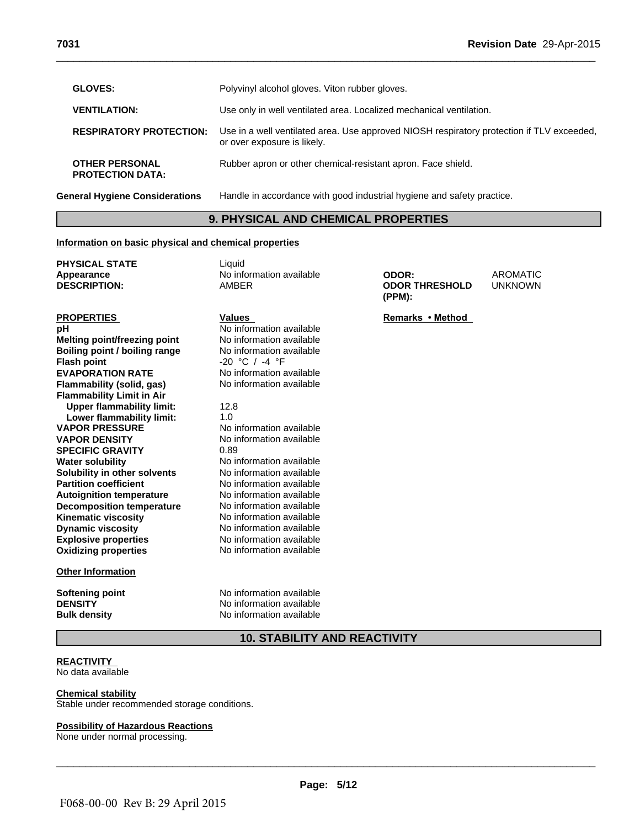| 7031                                                  | Revision Date 29-Apr-2015                                                                                                |
|-------------------------------------------------------|--------------------------------------------------------------------------------------------------------------------------|
| <b>GLOVES:</b>                                        | Polyvinyl alcohol gloves. Viton rubber gloves.                                                                           |
| <b>VENTILATION:</b>                                   | Use only in well ventilated area. Localized mechanical ventilation.                                                      |
| <b>RESPIRATORY PROTECTION:</b>                        | Use in a well ventilated area. Use approved NIOSH respiratory protection if TLV exceeded,<br>or over exposure is likely. |
| <b>OTHER PERSONAL</b><br><b>PROTECTION DATA:</b>      | Rubber apron or other chemical-resistant apron. Face shield.                                                             |
| <b>General Hygiene Considerations</b>                 | Handle in accordance with good industrial hygiene and safety practice.                                                   |
|                                                       | <b>9. PHYSICAL AND CHEMICAL PROPERTIES</b>                                                                               |
| Information on basic physical and chemical properties |                                                                                                                          |
| <b>PHYSICAL STATE</b>                                 | Liauid                                                                                                                   |

# **Information on basic physical and chemical properties**

| <b>PHYSICAL STATE</b><br>Appearance    | Liquid<br>No information available  | ODOR:                           | <b>AROMATIC</b> |
|----------------------------------------|-------------------------------------|---------------------------------|-----------------|
| <b>DESCRIPTION:</b>                    | <b>AMBER</b>                        | <b>ODOR THRESHOLD</b><br>(PPM): | <b>UNKNOWN</b>  |
| <b>PROPERTIES</b>                      | <b>Values</b>                       | Remarks • Method                |                 |
| pH                                     | No information available            |                                 |                 |
| Melting point/freezing point           | No information available            |                                 |                 |
| Boiling point / boiling range          | No information available            |                                 |                 |
| <b>Flash point</b>                     | $-20$ °C / $-4$ °F                  |                                 |                 |
| <b>EVAPORATION RATE</b>                | No information available            |                                 |                 |
| Flammability (solid, gas)              | No information available            |                                 |                 |
| <b>Flammability Limit in Air</b>       |                                     |                                 |                 |
| <b>Upper flammability limit:</b>       | 12.8                                |                                 |                 |
| Lower flammability limit:              | 1.0                                 |                                 |                 |
| <b>VAPOR PRESSURE</b>                  | No information available            |                                 |                 |
| <b>VAPOR DENSITY</b>                   | No information available            |                                 |                 |
| <b>SPECIFIC GRAVITY</b>                | 0.89                                |                                 |                 |
| <b>Water solubility</b>                | No information available            |                                 |                 |
| Solubility in other solvents           | No information available            |                                 |                 |
| <b>Partition coefficient</b>           | No information available            |                                 |                 |
| <b>Autoignition temperature</b>        | No information available            |                                 |                 |
| <b>Decomposition temperature</b>       | No information available            |                                 |                 |
| <b>Kinematic viscosity</b>             | No information available            |                                 |                 |
| <b>Dynamic viscosity</b>               | No information available            |                                 |                 |
| <b>Explosive properties</b>            | No information available            |                                 |                 |
| <b>Oxidizing properties</b>            | No information available            |                                 |                 |
| <b>Other Information</b>               |                                     |                                 |                 |
| <b>Softening point</b>                 | No information available            |                                 |                 |
| <b>DENSITY</b>                         | No information available            |                                 |                 |
| <b>Bulk density</b>                    | No information available            |                                 |                 |
|                                        | <b>10. STABILITY AND REACTIVITY</b> |                                 |                 |
| <b>REACTIVITY</b><br>No data available |                                     |                                 |                 |

# **REACTIVITY**

# **Chemical stability**

Stable under recommended storage conditions.

# **Possibility of Hazardous Reactions**

None under normal processing.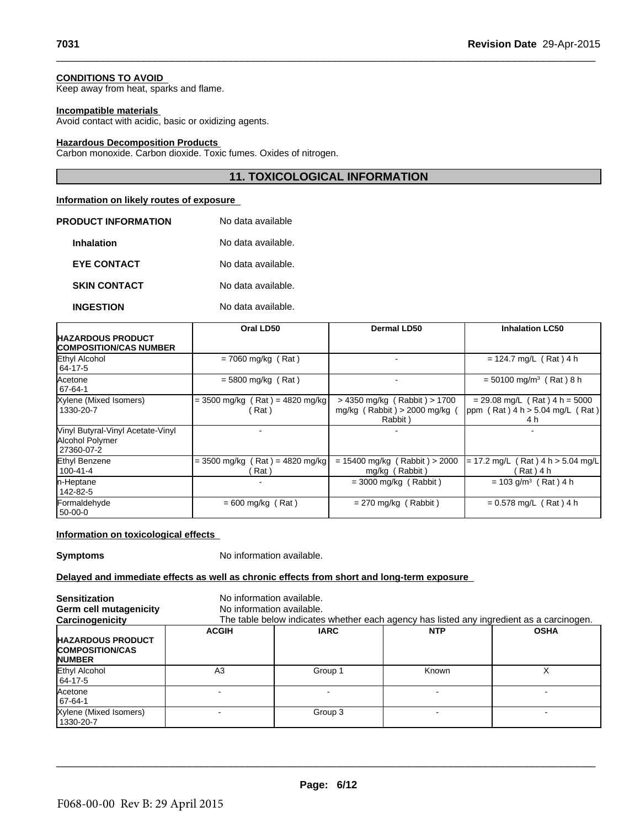# **CONDITIONS TO AVOID**

Keep away from heat, sparks and flame.

# **Incompatible materials**

Avoid contact with acidic, basic or oxidizing agents.

# **Hazardous Decomposition Products**

Carbon monoxide. Carbon dioxide. Toxic fumes. Oxides of nitrogen.

# **11. TOXICOLOGICAL INFORMATION**<br> **11. TOXICOLOGICAL INFORMATION**<br> **11. TOXICOLOGICAL INFORMATION**

 $\_$  ,  $\_$  ,  $\_$  ,  $\_$  ,  $\_$  ,  $\_$  ,  $\_$  ,  $\_$  ,  $\_$  ,  $\_$  ,  $\_$  ,  $\_$  ,  $\_$  ,  $\_$  ,  $\_$  ,  $\_$  ,  $\_$  ,  $\_$  ,  $\_$  ,  $\_$  ,  $\_$  ,  $\_$  ,  $\_$  ,  $\_$  ,  $\_$  ,  $\_$  ,  $\_$  ,  $\_$  ,  $\_$  ,  $\_$  ,  $\_$  ,  $\_$  ,  $\_$  ,  $\_$  ,  $\_$  ,  $\_$  ,  $\_$  ,

# **Information on likely routes of exposure**

| PRODUCT INFORMATION | No data available  |
|---------------------|--------------------|
| <b>Inhalation</b>   | No data available. |
| <b>EYE CONTACT</b>  | No data available. |
| <b>SKIN CONTACT</b> | No data available. |
| <b>INGESTION</b>    | No data available. |

|                                                                    | Oral LD50                                      | Dermal LD50                                                                                   | <b>Inhalation LC50</b>                                                        |
|--------------------------------------------------------------------|------------------------------------------------|-----------------------------------------------------------------------------------------------|-------------------------------------------------------------------------------|
| <b>HAZARDOUS PRODUCT</b><br><b>ICOMPOSITION/CAS NUMBER</b>         |                                                |                                                                                               |                                                                               |
| Ethyl Alcohol<br>64-17-5                                           | $= 7060$ mg/kg (Rat)                           |                                                                                               | $= 124.7$ mg/L (Rat) 4 h                                                      |
| Acetone<br>$167 - 64 - 1$                                          | $= 5800$ mg/kg (Rat)                           |                                                                                               | $= 50100$ mg/m <sup>3</sup> (Rat) 8 h                                         |
| Xylene (Mixed Isomers)<br>1330-20-7                                | $= 3500$ mg/kg (Rat) = 4820 mg/kg<br>(Rat)     | $>$ 4350 mg/kg (Rabbit) $>$ 1700<br>mg/kg $(Rabbit) > 2000$ mg/kg $(Rabbi) > 2000$<br>Rabbit) | $= 29.08$ mg/L (Rat) 4 h = 5000<br>ppm $(Rat)$ 4 h > 5.04 mg/L $(Rat)$<br>4 h |
| Vinyl Butyral-Vinyl Acetate-Vinyl<br>Alcohol Polymer<br>27360-07-2 |                                                |                                                                                               |                                                                               |
| Ethyl Benzene<br>$100 - 41 - 4$                                    | (Rat) = 4820 mg/kg<br>$= 3500$ mg/kg (<br>Rat) | $= 15400$ mg/kg (Rabbit) > 2000<br>mg/kg (Rabbit)                                             | (Rat) 4 h > 5.04 mg/L<br>= 17.2 mg/L (<br>Rat ) 4 h                           |
| n-Heptane<br>142-82-5                                              |                                                | $=$ 3000 mg/kg (Rabbit)                                                                       | $= 103$ g/m <sup>3</sup> (Rat) 4 h                                            |
| Formaldehyde<br>50-00-0                                            | $= 600$ mg/kg (Rat)                            | $= 270$ mg/kg (Rabbit)                                                                        | $= 0.578$ mg/L (Rat) 4 h                                                      |

# **Information on toxicological effects**

**Symptoms** No information available.

# **Delayed and immediate effects as well as chronic effects from short and long-term exposure**

| <b>Sensitization</b><br>Germ cell mutagenicity<br>Carcinogenicity   |              | No information available.<br>No information available.<br>The table below indicates whether each agency has listed any ingredient as a carcinogen. |            |             |  |
|---------------------------------------------------------------------|--------------|----------------------------------------------------------------------------------------------------------------------------------------------------|------------|-------------|--|
| <b>HAZARDOUS PRODUCT</b><br><b>COMPOSITION/CAS</b><br><b>NUMBER</b> | <b>ACGIH</b> | <b>IARC</b>                                                                                                                                        | <b>NTP</b> | <b>OSHA</b> |  |
| Ethyl Alcohol<br>64-17-5                                            | A3           | Group 1                                                                                                                                            | Known      |             |  |
| Acetone<br>$ 67-64-1$                                               |              |                                                                                                                                                    |            |             |  |
| Xylene (Mixed Isomers)<br>1330-20-7                                 |              | Group 3                                                                                                                                            |            |             |  |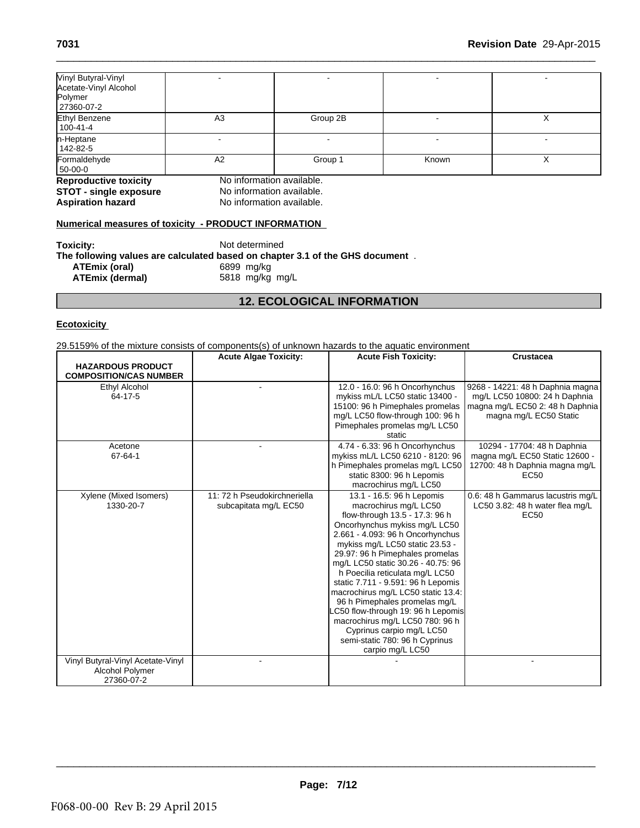|                                                                                     |                               | <b>12. ECOLOGICAL INFORMATION</b> |       |   |
|-------------------------------------------------------------------------------------|-------------------------------|-----------------------------------|-------|---|
|                                                                                     |                               |                                   |       |   |
| <b>ATEmix (oral)</b><br><b>ATEmix (dermal)</b>                                      | 6899 mg/kg<br>5818 mg/kg mg/L |                                   |       |   |
| The following values are calculated based on chapter 3.1 of the GHS document $\,$ . |                               |                                   |       |   |
| Toxicity:                                                                           | Not determined                |                                   |       |   |
| <b>Numerical measures of toxicity - PRODUCT INFORMATION</b>                         |                               |                                   |       |   |
| <b>Aspiration hazard</b>                                                            | No information available.     |                                   |       |   |
| <b>STOT - single exposure</b>                                                       | No information available.     |                                   |       |   |
| <b>Reproductive toxicity</b>                                                        | No information available.     |                                   |       |   |
| 50-00-0                                                                             |                               | Group 1                           |       |   |
| 142-82-5<br>Formaldehyde                                                            | A2                            |                                   | Known | X |
| n-Heptane                                                                           |                               |                                   |       |   |
| <b>Ethyl Benzene</b><br>$100 - 41 - 4$                                              | A <sub>3</sub>                | Group 2B                          |       | X |
| 27360-07-2                                                                          |                               |                                   |       |   |
| Acetate-Vinyl Alcohol<br>Polymer                                                    |                               |                                   |       |   |

# **Numerical measures of toxicity - PRODUCT INFORMATION**

| Toxicity:              | Not determined<br>The following values are calculated based on chapter 3.1 of the GHS document. |
|------------------------|-------------------------------------------------------------------------------------------------|
| ATEmix (oral)          | 6899 ma/ka                                                                                      |
| <b>ATEmix (dermal)</b> | 5818 mg/kg mg/L                                                                                 |

# **Ecotoxicity**

29.5159% of the mixture consists of components(s) of unknown hazards to the aquatic environment

|                                                                    | <b>Acute Algae Toxicity:</b>                          | <b>Acute Fish Toxicity:</b>                                                                                                                                                                                                                                                                                                                                                                                                                                                                                                                                                       | <b>Crustacea</b>                                                                                                               |
|--------------------------------------------------------------------|-------------------------------------------------------|-----------------------------------------------------------------------------------------------------------------------------------------------------------------------------------------------------------------------------------------------------------------------------------------------------------------------------------------------------------------------------------------------------------------------------------------------------------------------------------------------------------------------------------------------------------------------------------|--------------------------------------------------------------------------------------------------------------------------------|
| <b>HAZARDOUS PRODUCT</b><br><b>COMPOSITION/CAS NUMBER</b>          |                                                       |                                                                                                                                                                                                                                                                                                                                                                                                                                                                                                                                                                                   |                                                                                                                                |
| Ethyl Alcohol<br>64-17-5                                           |                                                       | 12.0 - 16.0: 96 h Oncorhynchus<br>mykiss mL/L LC50 static 13400 -<br>15100: 96 h Pimephales promelas<br>mg/L LC50 flow-through 100: 96 h<br>Pimephales promelas mg/L LC50<br>static                                                                                                                                                                                                                                                                                                                                                                                               | 9268 - 14221: 48 h Daphnia magna<br>mg/L LC50 10800: 24 h Daphnia<br>magna mg/L EC50 2: 48 h Daphnia<br>magna mg/L EC50 Static |
| Acetone<br>67-64-1                                                 |                                                       | 4.74 - 6.33: 96 h Oncorhynchus<br>mykiss mL/L LC50 6210 - 8120: 96<br>h Pimephales promelas mg/L LC50<br>static 8300: 96 h Lepomis<br>macrochirus mg/L LC50                                                                                                                                                                                                                                                                                                                                                                                                                       | 10294 - 17704: 48 h Daphnia<br>magna mg/L EC50 Static 12600 -<br>12700: 48 h Daphnia magna mg/L<br>EC50                        |
| Xylene (Mixed Isomers)<br>1330-20-7                                | 11: 72 h Pseudokirchneriella<br>subcapitata mg/L EC50 | 13.1 - 16.5: 96 h Lepomis<br>macrochirus mg/L LC50<br>flow-through 13.5 - 17.3: 96 h<br>Oncorhynchus mykiss mg/L LC50<br>2.661 - 4.093: 96 h Oncorhynchus<br>mykiss mg/L LC50 static 23.53 -<br>29.97: 96 h Pimephales promelas<br>mg/L LC50 static 30.26 - 40.75: 96<br>h Poecilia reticulata mg/L LC50<br>static 7.711 - 9.591: 96 h Lepomis<br>macrochirus mg/L LC50 static 13.4:<br>96 h Pimephales promelas mg/L<br>LC50 flow-through 19: 96 h Lepomis<br>macrochirus mg/L LC50 780: 96 h<br>Cyprinus carpio mg/L LC50<br>semi-static 780: 96 h Cyprinus<br>carpio mg/L LC50 | 0.6: 48 h Gammarus lacustris mg/L<br>LC50 3.82: 48 h water flea mg/L<br>EC50                                                   |
| Vinyl Butyral-Vinyl Acetate-Vinyl<br>Alcohol Polymer<br>27360-07-2 |                                                       |                                                                                                                                                                                                                                                                                                                                                                                                                                                                                                                                                                                   |                                                                                                                                |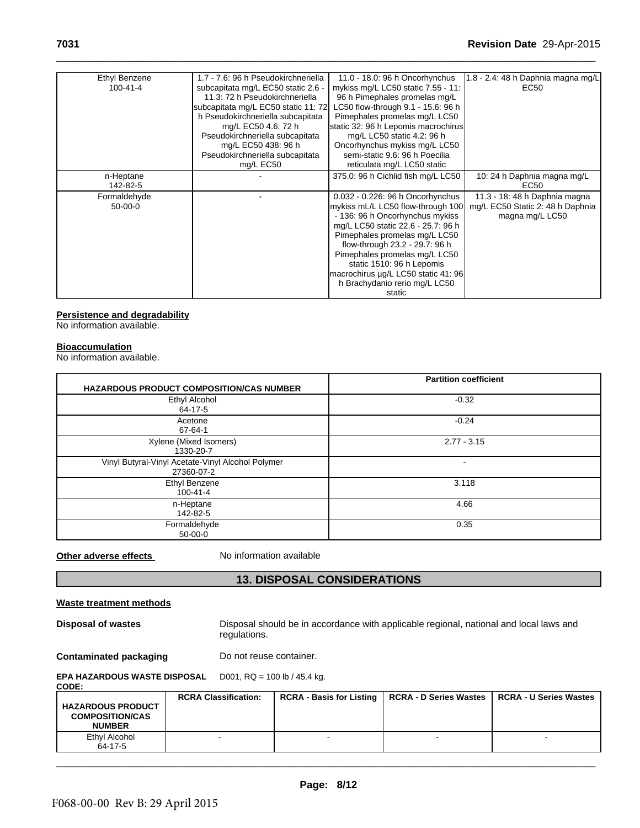| Ethyl Benzene  | 1.7 - 7.6: 96 h Pseudokirchneriella | 11.0 - 18.0: 96 h Oncorhynchus      | $1.8 - 2.4$ : 48 h Daphnia magna mg/L |
|----------------|-------------------------------------|-------------------------------------|---------------------------------------|
| $100 - 41 - 4$ | subcapitata mg/L EC50 static 2.6 -  | mykiss mg/L LC50 static 7.55 - 11:  | EC50                                  |
|                | 11.3: 72 h Pseudokirchneriella      | 96 h Pimephales promelas mg/L       |                                       |
|                | subcapitata mg/L EC50 static 11: 72 | LC50 flow-through 9.1 - 15.6: 96 h  |                                       |
|                | h Pseudokirchneriella subcapitata   | Pimephales promelas mg/L LC50       |                                       |
|                | mg/L EC50 4.6: 72 h                 | static 32: 96 h Lepomis macrochirus |                                       |
|                | Pseudokirchneriella subcapitata     | mg/L LC50 static 4.2: 96 h          |                                       |
|                | mg/L EC50 438: 96 h                 | Oncorhynchus mykiss mg/L LC50       |                                       |
|                | Pseudokirchneriella subcapitata     | semi-static 9.6: 96 h Poecilia      |                                       |
|                | mg/L EC50                           | reticulata mg/L LC50 static         |                                       |
| n-Heptane      |                                     | 375.0: 96 h Cichlid fish mg/L LC50  | 10: 24 h Daphnia magna mg/L           |
| 142-82-5       |                                     |                                     | EC50                                  |
| Formaldehyde   |                                     | 0.032 - 0.226: 96 h Oncorhynchus    | 11.3 - 18: 48 h Daphnia magna         |
| $50-00-0$      |                                     | mykiss mL/L LC50 flow-through 100   | mg/L EC50 Static 2: 48 h Daphnia      |
|                |                                     | - 136: 96 h Oncorhynchus mykiss     | magna mg/L LC50                       |
|                |                                     | mg/L LC50 static 22.6 - 25.7: 96 h  |                                       |
|                |                                     | Pimephales promelas mg/L LC50       |                                       |
|                |                                     | flow-through 23.2 - 29.7: 96 h      |                                       |
|                |                                     | Pimephales promelas mg/L LC50       |                                       |
|                |                                     | static 1510: 96 h Lepomis           |                                       |
|                |                                     | macrochirus µg/L LC50 static 41: 96 |                                       |
|                |                                     | h Brachydanio rerio mg/L LC50       |                                       |
|                |                                     | static                              |                                       |

# **Persistence and degradability**

No information available.

# **Bioaccumulation**

No information available.

|                                | <b>HAZARDOUS PRODUCT COMPOSITION/CAS NUMBER</b>                 | <b>Partition coefficient</b>                                                           |
|--------------------------------|-----------------------------------------------------------------|----------------------------------------------------------------------------------------|
|                                | Ethyl Alcohol<br>$64 - 17 - 5$                                  | $-0.32$                                                                                |
|                                | Acetone<br>67-64-1                                              | $-0.24$                                                                                |
|                                | Xylene (Mixed Isomers)<br>1330-20-7                             | $2.77 - 3.15$                                                                          |
|                                | Vinyl Butyral-Vinyl Acetate-Vinyl Alcohol Polymer<br>27360-07-2 |                                                                                        |
|                                | Ethyl Benzene<br>$100 - 41 - 4$                                 | 3.118                                                                                  |
|                                | n-Heptane<br>142-82-5                                           | 4.66                                                                                   |
|                                | Formaldehyde<br>$50-00-0$                                       | 0.35                                                                                   |
| Other adverse effects          | No information available                                        |                                                                                        |
|                                | <b>13. DISPOSAL CONSIDERATIONS</b>                              |                                                                                        |
| <b>Waste treatment methods</b> |                                                                 |                                                                                        |
| Disposal of wastes             |                                                                 | Disposal should be in accordance with applicable regional, national and local laws and |

**NUMBER**

Ethyl Alcohol 64-17-5

| Waste treatment methods                                                                                                      |  |                                |                                 |                               |                               |
|------------------------------------------------------------------------------------------------------------------------------|--|--------------------------------|---------------------------------|-------------------------------|-------------------------------|
| Disposal should be in accordance with applicable regional, national and local laws and<br>Disposal of wastes<br>regulations. |  |                                |                                 |                               |                               |
| <b>Contaminated packaging</b><br>Do not reuse container.                                                                     |  |                                |                                 |                               |                               |
| <b>EPA HAZARDOUS WASTE DISPOSAL</b><br><b>CODE:</b>                                                                          |  | D001, $RQ = 100$ lb / 45.4 kg. |                                 |                               |                               |
| <b>HAZARDOUS PRODUCT</b><br><b>COMPOSITION/CAS</b>                                                                           |  | <b>RCRA Classification:</b>    | <b>RCRA - Basis for Listing</b> | <b>RCRA - D Series Wastes</b> | <b>RCRA - U Series Wastes</b> |

- - - -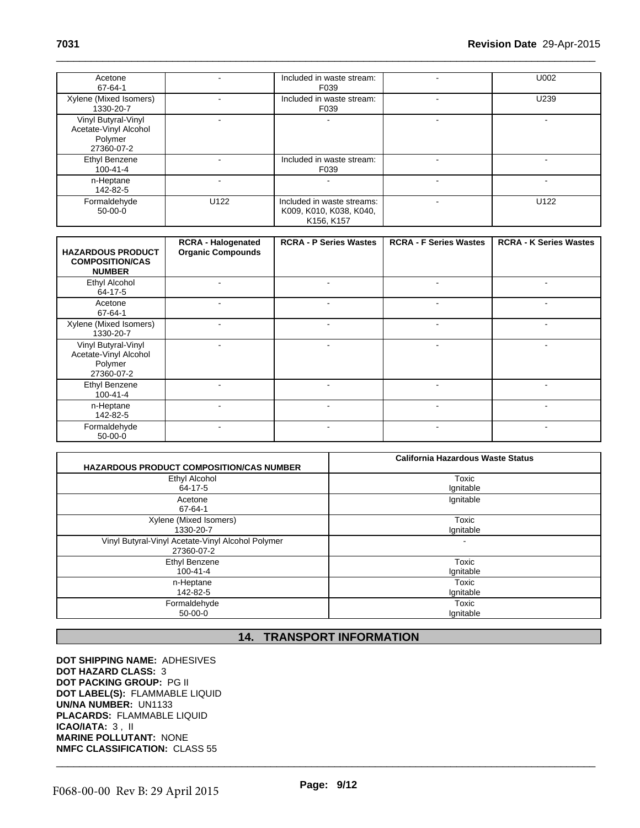| Acetone<br>67-64-1                                                    |      | Included in waste stream:<br>F039                                   |    | U002 |
|-----------------------------------------------------------------------|------|---------------------------------------------------------------------|----|------|
| Xylene (Mixed Isomers)<br>1330-20-7                                   |      | Included in waste stream:<br>F039                                   |    | U239 |
| Vinyl Butyral-Vinyl<br>Acetate-Vinyl Alcohol<br>Polymer<br>27360-07-2 |      | ۰                                                                   |    |      |
| Ethyl Benzene<br>$100 - 41 - 4$                                       |      | Included in waste stream:<br>F039                                   | ۰. |      |
| n-Heptane<br>142-82-5                                                 |      | ۰                                                                   |    |      |
| Formaldehyde<br>$50-00-0$                                             | U122 | Included in waste streams:<br>K009, K010, K038, K040,<br>K156, K157 |    | U122 |

| <b>HAZARDOUS PRODUCT</b><br><b>COMPOSITION/CAS</b><br><b>NUMBER</b>   | <b>RCRA - Halogenated</b><br><b>Organic Compounds</b> | <b>RCRA - P Series Wastes</b> | <b>RCRA - F Series Wastes</b> | <b>RCRA - K Series Wastes</b> |
|-----------------------------------------------------------------------|-------------------------------------------------------|-------------------------------|-------------------------------|-------------------------------|
| Ethyl Alcohol<br>64-17-5                                              |                                                       | $\blacksquare$                |                               |                               |
| Acetone<br>67-64-1                                                    | $\overline{\phantom{a}}$                              | $\blacksquare$                | $\blacksquare$                | $\blacksquare$                |
| Xylene (Mixed Isomers)<br>1330-20-7                                   |                                                       |                               |                               |                               |
| Vinyl Butyral-Vinyl<br>Acetate-Vinyl Alcohol<br>Polymer<br>27360-07-2 | $\overline{\phantom{a}}$                              | $\blacksquare$                |                               |                               |
| <b>Ethyl Benzene</b><br>$100 - 41 - 4$                                | $\sim$                                                | $\blacksquare$                | $\blacksquare$                |                               |
| n-Heptane<br>142-82-5                                                 |                                                       | $\overline{\phantom{a}}$      |                               |                               |
| Formaldehyde<br>$50 - 00 - 0$                                         | $\overline{\phantom{a}}$                              | ٠                             | $\blacksquare$                | $\blacksquare$                |

|                                                   | <b>California Hazardous Waste Status</b> |
|---------------------------------------------------|------------------------------------------|
| <b>HAZARDOUS PRODUCT COMPOSITION/CAS NUMBER</b>   |                                          |
| Ethyl Alcohol                                     | Toxic                                    |
| 64-17-5                                           | Ignitable                                |
| Acetone                                           | Ignitable                                |
| 67-64-1                                           |                                          |
| Xylene (Mixed Isomers)                            | Toxic                                    |
| 1330-20-7                                         | Ignitable                                |
| Vinyl Butyral-Vinyl Acetate-Vinyl Alcohol Polymer |                                          |
| 27360-07-2                                        |                                          |
| <b>Ethyl Benzene</b>                              | Toxic                                    |
| $100 - 41 - 4$                                    | Ignitable                                |
| n-Heptane                                         | Toxic                                    |
| 142-82-5                                          | Ignitable                                |
| Formaldehyde                                      | Toxic                                    |
| $50-00-0$                                         | Ignitable                                |
|                                                   |                                          |
|                                                   | <b>14. TRANSPORT INFORMATION</b>         |

**DOT SHIPPING NAME:** ADHESIVES **DOT HAZARD CLASS:** 3 **DOT PACKING GROUP:** PG II **DOT LABEL(S):** FLAMMABLE LIQUID **UN/NA NUMBER:** UN1133 **PLACARDS:** FLAMMABLE LIQUID **ICAO/IATA:** 3 , II **MARINE POLLUTANT:** NONE **NMFC CLASSIFICATION:** CLASS 55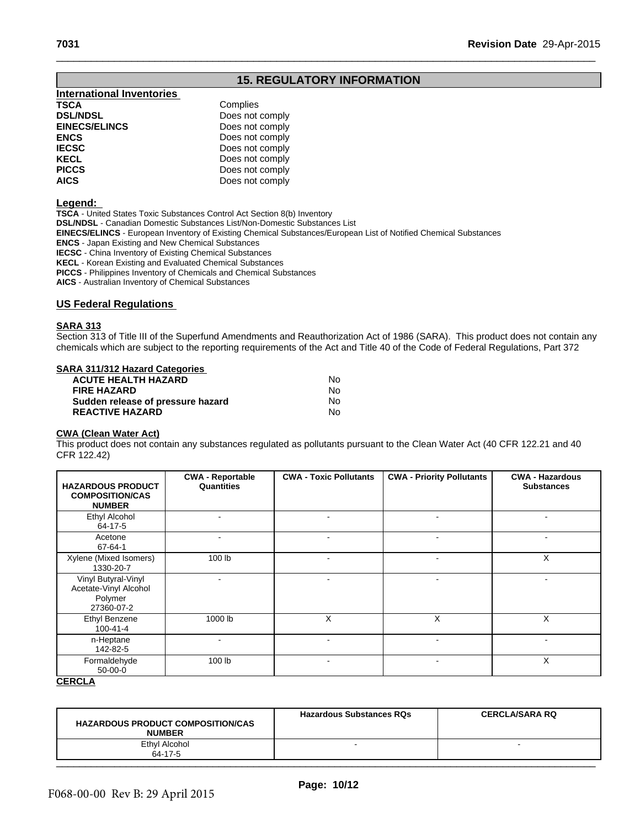| 7031                             |                                   | Revision Date 29-Apr-2015 |
|----------------------------------|-----------------------------------|---------------------------|
|                                  |                                   |                           |
|                                  | <b>15. REGULATORY INFORMATION</b> |                           |
| <b>International Inventories</b> |                                   |                           |
| <b>TSCA</b>                      | Complies                          |                           |
| <b>DSL/NDSL</b>                  | Does not comply                   |                           |
| <b>EINECS/ELINCS</b>             | Does not comply                   |                           |
| <b>ENCS</b>                      | Does not comply                   |                           |
| <b>IECSC</b>                     | Does not comply                   |                           |
| <b>KECL</b>                      | Does not comply                   |                           |
| <b>PICCS</b>                     | Does not comply                   |                           |
| <b>AICS</b>                      | Does not comply                   |                           |

# **Legend:**

**TSCA** - United States Toxic Substances Control Act Section 8(b) Inventory **DSL/NDSL** - Canadian Domestic Substances List/Non-Domestic Substances List **EINECS/ELINCS** - European Inventory of Existing Chemical Substances/European List of Notified Chemical Substances **ENCS** - Japan Existing and New Chemical Substances **IECSC** - China Inventory of Existing Chemical Substances **KECL** - Korean Existing and Evaluated Chemical Substances **PICCS** - Philippines Inventory of Chemicals and Chemical Substances **AICS** - Australian Inventory of Chemical Substances

# **US Federal Regulations**

# **SARA 313**

Section 313 of Title III of the Superfund Amendments and Reauthorization Act of 1986 (SARA). This product does not contain any chemicals which are subject to the reporting requirements of the Act and Title 40 of the Code of Federal Regulations, Part 372

# **SARA 311/312 Hazard Categories**

| <b>ACUTE HEALTH HAZARD</b>        | N٥ |
|-----------------------------------|----|
| <b>FIRE HAZARD</b>                | N٥ |
| Sudden release of pressure hazard | N٥ |
| <b>REACTIVE HAZARD</b>            | N٥ |

# **CWA (Clean Water Act)**

This product does not contain any substances regulated as pollutants pursuant to the Clean Water Act (40 CFR 122.21 and 40 CFR 122.42)

| <b>HAZARDOUS PRODUCT</b><br><b>COMPOSITION/CAS</b><br><b>NUMBER</b>   | <b>CWA - Reportable</b><br>Quantities | <b>CWA - Toxic Pollutants</b> | <b>CWA - Priority Pollutants</b> | <b>CWA - Hazardous</b><br><b>Substances</b> |
|-----------------------------------------------------------------------|---------------------------------------|-------------------------------|----------------------------------|---------------------------------------------|
| Ethyl Alcohol<br>64-17-5                                              | ۰.                                    | $\overline{\phantom{a}}$      | ۰                                |                                             |
| Acetone<br>$67 - 64 - 1$                                              |                                       |                               | ۰                                |                                             |
| Xylene (Mixed Isomers)<br>1330-20-7                                   | 100 lb                                | ٠                             | $\blacksquare$                   | X                                           |
| Vinyl Butyral-Vinyl<br>Acetate-Vinyl Alcohol<br>Polymer<br>27360-07-2 | $\overline{\phantom{0}}$              |                               | ۰                                |                                             |
| Ethyl Benzene<br>$100 - 41 - 4$                                       | 1000 lb                               | X                             | X                                | X                                           |
| n-Heptane<br>142-82-5                                                 | ۰                                     |                               |                                  |                                             |
| Formaldehyde<br>$50-00-0$                                             | 100 lb                                | ٠                             | $\blacksquare$                   | X                                           |

# **CERCLA**

| <b>HAZARDOUS PRODUCT COMPOSITION/CAS</b><br><b>NUMBER</b> | <b>Hazardous Substances RQs</b> | <b>CERCLA/SARA RQ</b> |  |
|-----------------------------------------------------------|---------------------------------|-----------------------|--|
| Ethyl Alcohol<br>64-17-5                                  |                                 |                       |  |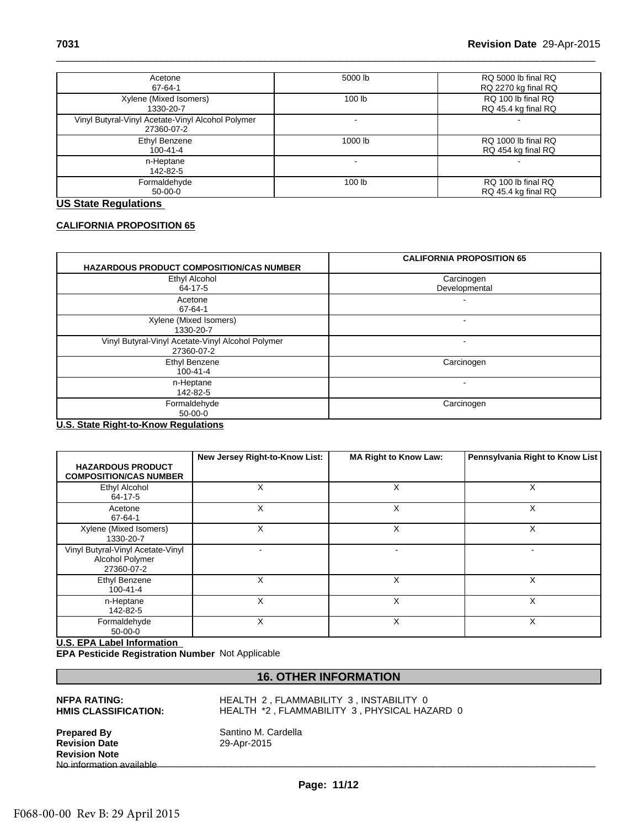| Acetone<br>67-64-1                                              | 5000 lb           | RQ 5000 lb final RQ<br>RQ 2270 kg final RQ |
|-----------------------------------------------------------------|-------------------|--------------------------------------------|
| Xylene (Mixed Isomers)<br>1330-20-7                             | 100 lb            | RQ 100 lb final RQ<br>RQ 45.4 kg final RQ  |
| Vinyl Butyral-Vinyl Acetate-Vinyl Alcohol Polymer<br>27360-07-2 |                   |                                            |
| Ethyl Benzene<br>100-41-4                                       | 1000 lb           | RQ 1000 lb final RQ<br>RQ 454 kg final RQ  |
| n-Heptane<br>142-82-5                                           |                   | -                                          |
| Formaldehyde<br>50-00-0                                         | 100 <sub>lb</sub> | RQ 100 lb final RQ<br>RQ 45.4 kg final RQ  |

# **US State Regulations**

# **CALIFORNIA PROPOSITION 65**

| <b>HAZARDOUS PRODUCT COMPOSITION/CAS NUMBER</b>                 | <b>CALIFORNIA PROPOSITION 65</b> |
|-----------------------------------------------------------------|----------------------------------|
| <b>Ethyl Alcohol</b><br>64-17-5                                 | Carcinogen<br>Developmental      |
| Acetone<br>67-64-1                                              |                                  |
| Xylene (Mixed Isomers)<br>1330-20-7                             |                                  |
| Vinyl Butyral-Vinyl Acetate-Vinyl Alcohol Polymer<br>27360-07-2 |                                  |
| Ethyl Benzene<br>$100 - 41 - 4$                                 | Carcinogen                       |
| n-Heptane<br>142-82-5                                           |                                  |
| Formaldehyde<br>$50-00-0$                                       | Carcinogen                       |

# **U.S. State Right-to-Know Regulations**

|                                                                                       | New Jersey Right-to-Know List:          | <b>MA Right to Know Law:</b>                 | Pennsylvania Right to Know List |
|---------------------------------------------------------------------------------------|-----------------------------------------|----------------------------------------------|---------------------------------|
| <b>HAZARDOUS PRODUCT</b><br><b>COMPOSITION/CAS NUMBER</b>                             |                                         |                                              |                                 |
| Ethyl Alcohol<br>64-17-5                                                              | X                                       | X                                            | X                               |
| Acetone<br>67-64-1                                                                    | X                                       | X                                            | X                               |
| Xylene (Mixed Isomers)<br>1330-20-7                                                   | X                                       | X                                            | X                               |
| Vinyl Butyral-Vinyl Acetate-Vinyl<br>Alcohol Polymer<br>27360-07-2                    |                                         |                                              |                                 |
| Ethyl Benzene<br>$100 - 41 - 4$                                                       | X                                       | X                                            | X                               |
| n-Heptane<br>142-82-5                                                                 | X                                       | X                                            | X                               |
| Formaldehyde<br>$50 - 00 - 0$                                                         | X                                       | $\sf X$                                      | X                               |
| <b>U.S. EPA Label Information</b><br>EPA Pesticide Registration Number Not Applicable |                                         |                                              |                                 |
|                                                                                       | <b>16. OTHER INFORMATION</b>            |                                              |                                 |
| <b>NFPA RATING:</b><br><b>HMIS CLASSIFICATION:</b>                                    | HEALTH 2, FLAMMABILITY 3, INSTABILITY 0 | HEALTH *2, FLAMMABILITY 3, PHYSICAL HAZARD 0 |                                 |

# **U.S. EPA Label Information**

**Prepared By** Santino M. Cardella<br> **Revision Date** 29-Apr-2015 **Revision Date Revision Note** No information available